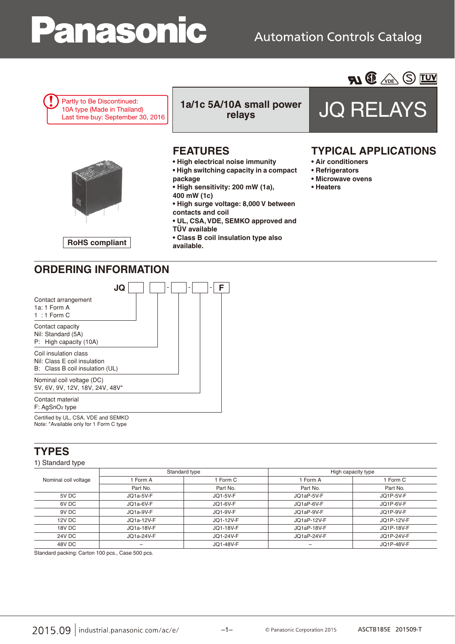# anasonic

## **Automation Controls Catalog**





Certified by UL, CSA, VDE and SEMKO Note: \*Available only for 1 Form C type

## **TYPES**

#### 1) Standard type

| Nominal coil voltage |            | Standard type | High capacity type |            |  |  |
|----------------------|------------|---------------|--------------------|------------|--|--|
|                      | Form A     | 1 Form C      | 1 Form A           | 1 Form C   |  |  |
|                      | Part No.   | Part No.      | Part No.           | Part No.   |  |  |
| 5V DC                | JQ1a-5V-F  | JQ1-5V-F      | JQ1aP-5V-F         | JQ1P-5V-F  |  |  |
| 6V DC                | JQ1a-6V-F  | JQ1-6V-F      | JQ1aP-6V-F         | JQ1P-6V-F  |  |  |
| 9V DC                | JQ1a-9V-F  | JQ1-9V-F      | JQ1aP-9V-F         | JQ1P-9V-F  |  |  |
| 12V DC               | JO1a-12V-F | JQ1-12V-F     | JO1aP-12V-F        | JQ1P-12V-F |  |  |
| 18V DC               | JQ1a-18V-F | JQ1-18V-F     | JQ1aP-18V-F        | JQ1P-18V-F |  |  |
| 24V DC               | JQ1a-24V-F | JQ1-24V-F     | JQ1aP-24V-F        | JQ1P-24V-F |  |  |
| 48V DC               |            | JQ1-48V-F     | -                  | JQ1P-48V-F |  |  |

Standard packing: Carton 100 pcs., Case 500 pcs.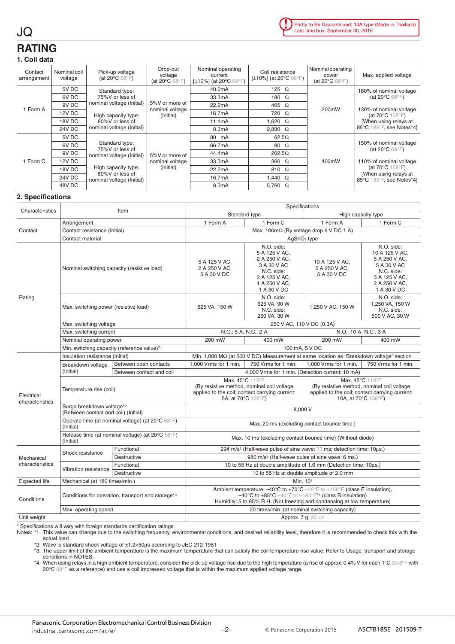## **RATING**

JQ

#### **1. Coil data**

| Contact<br>arrangement | Nominal coil<br>voltage | Pick-up voltage<br>(at 20 $\mathrm{^{\circ}C}$ 68 $\mathrm{^{\circ}F}$ ) | Drop-out<br>voltage<br>(at 20 $\mathrm{^{\circ}C}$ 68 $\mathrm{^{\circ}F}$ ) | Nominal operating<br>current<br>[ $\pm$ 10%] (at 20 $\degree$ C 68 $\degree$ F) | Coil resistance<br>[ $\pm$ 10%] (at 20 $^{\circ}$ C 68 $^{\circ}$ F) | Nominal operating<br>power<br>(at $20^{\circ}$ C 68 $^{\circ}$ F) | Max. applied voltage                                                                                                |  |
|------------------------|-------------------------|--------------------------------------------------------------------------|------------------------------------------------------------------------------|---------------------------------------------------------------------------------|----------------------------------------------------------------------|-------------------------------------------------------------------|---------------------------------------------------------------------------------------------------------------------|--|
|                        | 5V DC                   | Standard type:                                                           | 5%V or more of<br>nominal voltage<br>(Initial)                               | 40.0mA                                                                          | 125 $\Omega$                                                         |                                                                   | 180% of nominal voltage<br>(at 20 $\mathrm{^{\circ}C}$ 68 $\mathrm{^{\circ}F}$ )                                    |  |
|                        | 6V DC                   | 75%V or less of                                                          |                                                                              | 33.3mA                                                                          | 180 $\Omega$                                                         |                                                                   |                                                                                                                     |  |
| 1 Form A               | 9V DC                   | nominal voltage (Initial)                                                |                                                                              | 22.2mA                                                                          | 405 $\Omega$                                                         | 200mW                                                             | 130% of nominal voltage                                                                                             |  |
|                        | 12V DC                  | High capacity type:<br>80%V or less of                                   |                                                                              | 16.7mA                                                                          | 720 $\Omega$                                                         |                                                                   | (at $70^{\circ}$ C $158^{\circ}$ F)<br>[When using relays at                                                        |  |
|                        | 18V DC                  |                                                                          |                                                                              | 11.1mA                                                                          | 1,620 $\Omega$                                                       |                                                                   |                                                                                                                     |  |
|                        | <b>24V DC</b>           | nominal voltage (Initial)                                                |                                                                              | 8.3mA                                                                           | 2,880 $\Omega$                                                       |                                                                   | 85°C 185°F, see Notes*4]                                                                                            |  |
| 1 Form C               | 5V DC                   |                                                                          | 5%V or more of<br>nominal voltage<br>(Initial)                               | 80 mA                                                                           | $62.5\Omega$                                                         |                                                                   | 150% of nominal voltage<br>(at 20 $\mathrm{^{\circ}C}$ 68 $\mathrm{^{\circ}F}$ )                                    |  |
|                        | 6V DC                   | Standard type:<br>75%V or less of                                        |                                                                              | 66.7mA                                                                          | 90 $\Omega$                                                          |                                                                   |                                                                                                                     |  |
|                        | 9V DC                   | nominal voltage (Initial)                                                |                                                                              | 44.4mA                                                                          | $202.5\Omega$                                                        |                                                                   |                                                                                                                     |  |
|                        | 12V DC                  | High capacity type:                                                      |                                                                              | 33.3mA                                                                          | 360 $\Omega$                                                         | 400mW                                                             | 110% of nominal voltage<br>(at $70^{\circ}$ C $158^{\circ}$ F)<br>[When using relays at<br>85°C 185°F, see Notes*4] |  |
|                        | 18V DC                  |                                                                          |                                                                              | 22.2mA                                                                          | 810 $\Omega$                                                         |                                                                   |                                                                                                                     |  |
|                        | <b>24V DC</b>           | 80%V or less of<br>nominal voltage (Initial)                             |                                                                              | 16.7mA                                                                          | 1.440 $\Omega$                                                       |                                                                   |                                                                                                                     |  |
|                        | 48V DC                  |                                                                          |                                                                              | 8.3mA                                                                           | 5,760 $\Omega$                                                       |                                                                   |                                                                                                                     |  |

#### **2. Specifications**

|                               |                                                                               |                                                   | Specifications                                                                                                                                                                                                                                                                                             |                                                                                                                            |                                                                                   |                                                                                                                                         |  |  |
|-------------------------------|-------------------------------------------------------------------------------|---------------------------------------------------|------------------------------------------------------------------------------------------------------------------------------------------------------------------------------------------------------------------------------------------------------------------------------------------------------------|----------------------------------------------------------------------------------------------------------------------------|-----------------------------------------------------------------------------------|-----------------------------------------------------------------------------------------------------------------------------------------|--|--|
| Characteristics               |                                                                               | Item                                              | Standard type                                                                                                                                                                                                                                                                                              |                                                                                                                            | High capacity type                                                                |                                                                                                                                         |  |  |
|                               | Arrangement                                                                   |                                                   | 1 Form A                                                                                                                                                                                                                                                                                                   | 1 Form C                                                                                                                   | 1 Form A                                                                          | 1 Form C                                                                                                                                |  |  |
| Contact                       | Contact resistance (Initial)                                                  |                                                   | Max. 100m $\Omega$ (By voltage drop 6 V DC 1 A)                                                                                                                                                                                                                                                            |                                                                                                                            |                                                                                   |                                                                                                                                         |  |  |
|                               | Contact material                                                              |                                                   |                                                                                                                                                                                                                                                                                                            |                                                                                                                            | AgSnO <sub>2</sub> type                                                           |                                                                                                                                         |  |  |
| Rating                        |                                                                               | Nominal switching capacity (resistive load)       | 5 A 125 V AC.<br>2 A 250 V AC,<br>5 A 30 V DC                                                                                                                                                                                                                                                              | N.O. side:<br>5 A 125 V AC,<br>2 A 250 V AC,<br>3 A 30 V AC<br>N.C. side:<br>2 A 125 V AC,<br>1 A 250 V AC,<br>1 A 30 V DC | 10 A 125 V AC,<br>5 A 250 V AC,<br>5 A 30 V DC                                    | N.O. side:<br>10 A 125 V AC,<br>5 A 250 V AC,<br>5 A 30 V AC<br>N.C. side:<br>3 A 125 V AC,<br>2 A 250 V AC,<br>1 A 30 V DC             |  |  |
|                               | Max. switching power (resistive load)                                         |                                                   | 625 VA, 150 W                                                                                                                                                                                                                                                                                              | N.O. side:<br>625 VA, 90 W<br>N.C. side:<br>250 VA, 30 W                                                                   | 1,250 V AC, 150 W                                                                 | N.O. side:<br>1,250 VA, 150 W<br>N.C. side:<br>500 V AC, 30 W                                                                           |  |  |
|                               | Max. switching voltage                                                        |                                                   |                                                                                                                                                                                                                                                                                                            | 250 V AC, 110 V DC (0.3A)                                                                                                  |                                                                                   |                                                                                                                                         |  |  |
|                               | Max. switching current                                                        |                                                   | N.O.: 5 A. N.C.: 2 A                                                                                                                                                                                                                                                                                       |                                                                                                                            | N.O.: 10 A, N.C.: 3 A                                                             |                                                                                                                                         |  |  |
|                               | Nominal operating power                                                       |                                                   | 200 mW                                                                                                                                                                                                                                                                                                     | 400 mW                                                                                                                     | 200 mW                                                                            | 400 mW                                                                                                                                  |  |  |
|                               |                                                                               | Min. switching capacity (reference value)*1       | 100 mA, 5 V DC                                                                                                                                                                                                                                                                                             |                                                                                                                            |                                                                                   |                                                                                                                                         |  |  |
|                               | Insulation resistance (Initial)                                               |                                                   | Min. 1,000 MΩ (at 500 V DC) Measurement at same location as "Breakdown voltage" section.                                                                                                                                                                                                                   |                                                                                                                            |                                                                                   |                                                                                                                                         |  |  |
|                               | Breakdown voltage<br>(Initial)                                                | Between open contacts                             | 1.000 Vrms for 1 min.                                                                                                                                                                                                                                                                                      | 750 Vrms for 1 min.                                                                                                        | 1.000 Vrms for 1 min.                                                             | 750 Vrms for 1 min.                                                                                                                     |  |  |
|                               |                                                                               | Between contact and coil                          | 4,000 Vrms for 1 min. (Detection current: 10 mA)                                                                                                                                                                                                                                                           |                                                                                                                            |                                                                                   |                                                                                                                                         |  |  |
| Electrical<br>characteristics | Temperature rise (coil)                                                       |                                                   | Max. 45°C 113°F<br>(By resistive method, nominal coil voltage<br>applied to the coil; contact carrying current:<br>5A, at 70°C 158°F)                                                                                                                                                                      |                                                                                                                            |                                                                                   | Max. 45°C 113°F<br>(By resistive method, nominal coil voltage)<br>applied to the coil; contact carrying current:<br>10A, at 70°C 158°F) |  |  |
|                               | Surge breakdown voltage* <sup>2</sup><br>(Between contact and coil) (Initial) |                                                   |                                                                                                                                                                                                                                                                                                            | 8,000 V                                                                                                                    |                                                                                   |                                                                                                                                         |  |  |
|                               | (Initial)                                                                     | Operate time (at nominal voltage) (at 20°C 68°F)  | Max. 20 ms (excluding contact bounce time.)                                                                                                                                                                                                                                                                |                                                                                                                            |                                                                                   |                                                                                                                                         |  |  |
|                               | (Initial)                                                                     | Release time (at nominal voltage) (at 20°C 68°F)  | Max. 10 ms (excluding contact bounce time) (Without diode)                                                                                                                                                                                                                                                 |                                                                                                                            |                                                                                   |                                                                                                                                         |  |  |
|                               |                                                                               | Functional                                        |                                                                                                                                                                                                                                                                                                            |                                                                                                                            | 294 m/s <sup>2</sup> (Half-wave pulse of sine wave: 11 ms; detection time: 10us.) |                                                                                                                                         |  |  |
| Mechanical                    | Shock resistance                                                              | <b>Destructive</b>                                | 980 m/s <sup>2</sup> (Half-wave pulse of sine wave: 6 ms.)                                                                                                                                                                                                                                                 |                                                                                                                            |                                                                                   |                                                                                                                                         |  |  |
| characteristics               | Vibration resistance                                                          | Functional                                        | 10 to 55 Hz at double amplitude of 1.6 mm (Detection time: 10µs.)                                                                                                                                                                                                                                          |                                                                                                                            |                                                                                   |                                                                                                                                         |  |  |
|                               |                                                                               | <b>Destructive</b>                                |                                                                                                                                                                                                                                                                                                            | 10 to 55 Hz at double amplitude of 2.0 mm                                                                                  |                                                                                   |                                                                                                                                         |  |  |
| <b>Expected life</b>          | Mechanical (at 180 times/min.)                                                |                                                   | Min. 107                                                                                                                                                                                                                                                                                                   |                                                                                                                            |                                                                                   |                                                                                                                                         |  |  |
| Conditions                    |                                                                               | Conditions for operation, transport and storage*3 | Ambient temperature: $-40^{\circ}$ C to $+70^{\circ}$ C $-40^{\circ}$ F to $+158^{\circ}$ F (class E insulation).<br>$-40^{\circ}$ C to $+85^{\circ}$ C $-40^{\circ}$ F to $+185^{\circ}$ F <sup>*4</sup> (class B insulation)<br>Humidity: 5 to 85% R.H. (Not freezing and condensing at low temperature) |                                                                                                                            |                                                                                   |                                                                                                                                         |  |  |
|                               | Max. operating speed                                                          |                                                   | 20 times/min. (at nominal switching capacity)                                                                                                                                                                                                                                                              |                                                                                                                            |                                                                                   |                                                                                                                                         |  |  |
| Unit weight                   |                                                                               |                                                   | Approx. 7 g . 25 oz                                                                                                                                                                                                                                                                                        |                                                                                                                            |                                                                                   |                                                                                                                                         |  |  |

\* Specifications will vary with foreign standards certification ratings.

Notes: \*1. This value can change due to the switching frequency, environmental conditions, and desired reliability level, therefore it is recommended to check this with the actual load.

\*2. Wave is standard shock voltage of ±1.2×50μs according to JEC-212-1981

\*3. The upper limit of the ambient temperature is the maximum temperature that can satisfy the coil temperature rise value. Refer to Usage, transport and storage conditions in NOTES.

\*4. When using relays in a high ambient temperature, consider the pick-up voltage rise due to the high temperature (a rise of approx. 0.4% V for each 1°C 33.8°F with 20°C 68°F as a reference) and use a coil impressed voltage that is within the maximum applied voltage range.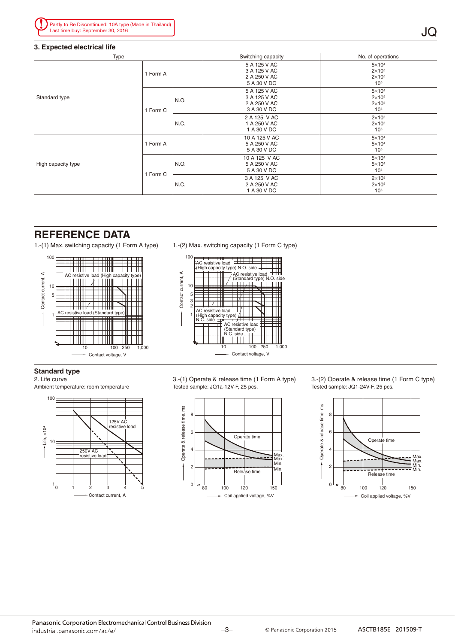#### **3. Expected electrical life**

| Type               |          |      | Switching capacity                                          | No. of operations                                                   |  |  |
|--------------------|----------|------|-------------------------------------------------------------|---------------------------------------------------------------------|--|--|
|                    | 1 Form A |      | 5 A 125 V AC<br>3 A 125 V AC<br>2 A 250 V AC<br>5 A 30 V DC | $5\times10^4$<br>$2\times10^{5}$<br>$2\times105$<br>10 <sup>5</sup> |  |  |
| Standard type      | 1 Form C | N.O. | 5 A 125 V AC<br>3 A 125 V AC<br>2 A 250 V AC<br>3 A 30 V DC | $5\times10^4$<br>$2\times10^{5}$<br>$2\times105$<br>10 <sup>5</sup> |  |  |
|                    |          | N.C. | 2 A 125 V AC<br>1 A 250 V AC<br>1 A 30 V DC                 | $2\times105$<br>$2\times10^{5}$<br>10 <sup>5</sup>                  |  |  |
|                    | 1 Form A |      | 10 A 125 V AC<br>5 A 250 V AC<br>5 A 30 V DC                | $5\times104$<br>$5\times10^4$<br>10 <sup>5</sup>                    |  |  |
| High capacity type |          | N.O. | 10 A 125 V AC<br>5 A 250 V AC<br>5 A 30 V DC                | $5\times10^4$<br>$5\times104$<br>10 <sup>5</sup>                    |  |  |
|                    | 1 Form C | N.C. | 3 A 125 V AC<br>2 A 250 V AC<br>1 A 30 V DC                 | $2\times105$<br>$2\times10^{5}$<br>10 <sub>5</sub>                  |  |  |

### **REFERENCE DATA**

1.-(1) Max. switching capacity (1 Form A type) 1.-(2) Max. switching capacity (1 Form C type)





#### **Standard type**

2. Life curve

Ambient temperature: room temperature



3.-(1) Operate & release time (1 Form A type) Tested sample: JQ1a-12V-F, 25 pcs.



3.-(2) Operate & release time (1 Form C type) Tested sample: JQ1-24V-F, 25 pcs.

JQ

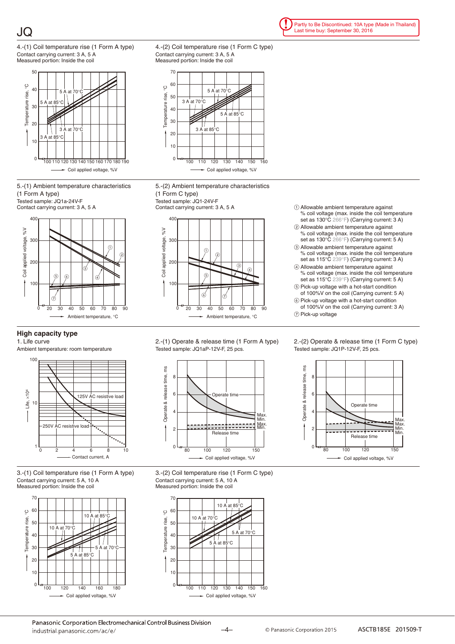



5.-(1) Ambient temperature characteristics (1 Form A type)

Tested sample: JQ1a-24V-F Contact carrying current: 3 A, 5 A



#### **High capacity type**

1. Life curve

Ambient temperature: room temperature



3.-(1) Coil temperature rise (1 Form A type) Contact carrying current: 5 A, 10 A Measured portion: Inside the coil



4.-(2) Coil temperature rise (1 Form C type) Contact carrying current: 3 A, 5 A Measured portion: Inside the coil



5.-(2) Ambient temperature characteristics (1 Form C type)





2.-(1) Operate & release time (1 Form A type) Tested sample: JQ1aP-12V-F, 25 pcs.







Partly to Be Discontinued: 10A type (Made in Thailand) Last time buy: September 30, 2016

 $\odot$  Allowable ambient temperature against % coil voltage (max. inside the coil temperature

- set as 130°C 266°F) (Carrying current: 3 A) 2 Allowable ambient temperature against
- % coil voltage (max. inside the coil temperature set as 130°C 266°F) (Carrying current: 5 A) 3 Allowable ambient temperature against
- % coil voltage (max. inside the coil temperature set as 115°C 239°F) (Carrying current: 3 A)
- 4 Allowable ambient temperature against % coil voltage (max. inside the coil temperature set as 115°C 239°F) (Carrying current: 5 A)
- 5 Pick-up voltage with a hot-start condition of 100%V on the coil (Carrying current: 5 A)
- 6 Pick-up voltage with a hot-start condition of 100%V on the coil (Carrying current: 3 A)

7 Pick-up voltage

2.-(2) Operate & release time (1 Form C type) Tested sample: JQ1P-12V-F, 25 pcs.



Panasonic Corporation Electromechanical Control Business Division industrial panasonic com/ac/e/

<sup>-4</sup> <sup>©</sup> Panasonic Corporation 2015<br>
ASCTB185E 201509-T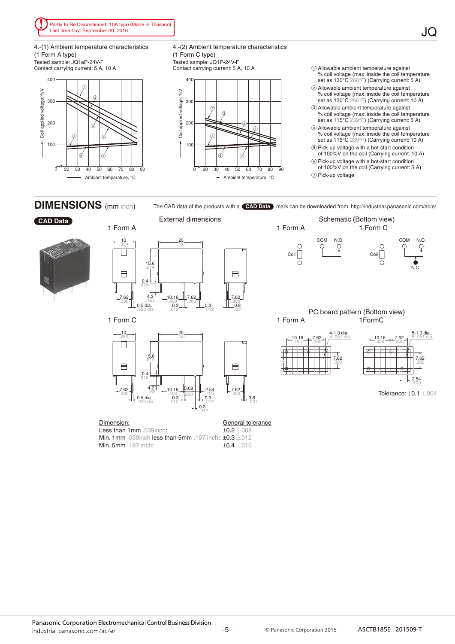

4.-(1) Ambient temperature characteristics (1 Form A type)

Tested sample: JQ1aP-24V-F Contact carrying current: 5 A, 10 A



4.-(2) Ambient temperature characteristics (1 Form C type) Tested sample: JQ1P-24V-F<br>Contact carrying current: 5 A, 10 A



 $\odot$  Allowable ambient temperature against % coil voltage (max. inside the coil temperature set as 130°C 266°F) (Carrying current: 5 A)

JQ

- 2 Allowable ambient temperature against % coil voltage (max. inside the coil temperature set as 130°C 266°F) (Carrying current: 10 A)
- 3 Allowable ambient temperature against % coil voltage (max. inside the coil temperature set as 115°C 239°F) (Carrying current: 5 A)
- 4 Allowable ambient temperature against % coil voltage (max. inside the coil temperature set as 115°C 239°F) (Carrying current: 10 A)
- 5 Pick-up voltage with a hot-start condition of 100%V on the coil (Carrying current: 10 A)
- 6 Pick-up voltage with a hot-start condition of 100%V on the coil (Carrying current: 5 A)
- 7 Pick-up voltage

**DIMENSIONS** (mm inch)



**CAD Data**

The CAD data of the products with a **CAD Data** mark can be downloaded from: http://industrial.panasonic.com/ac/e/ External dimensions Schematic (Bottom view) 1 Form A 1 Form A 1 Form C COM N.O. COM N.O. 10 20 .394 .787  $\mathcal{Q}$  $\mathcal{Q}$  $\vert \ \ \vert$  $Coil$  $Coil$ 15.6 .614 N.C.  $\qquad \qquad \blacksquare$  $\Box$ 0.4 .016  $4.2$ 7.62 **10.16 7.62 MM** 7.62 0.5 dia. 0.3 0.3 0.8 .165 .300  $.300$  .165 .400 .300 .300 .300 .020 dia. .012 .012 .012 .031 PC board pattern (Bottom view) 1 Form C 1 Form A 1FormC 20  $\frac{10}{394}$ 4-1.3 dia. 5-1.3 dia. 5-.051 dia. .787  $10.16$ 7.62 10.16 7.62 .400 .300 .400 .300 П 15.6 .614 7.62 .300 7.62 .300  $\Box$  $\qquad \qquad \Box$ 0.4 .016 2.54 .100 4.2 .165  $10.16$  5.08 7.62  $\frac{4.2}{165}$   $-10.16$   $\frac{5.08}{16.254}$   $-2.54$   $-7.62$ Tolerance: ±0.1 ±.004  $100$  .300 .100 .100 .300 .100 .300 .200  $0.5$  dia.  $0.3 + 0.8$ 0.3 0.3 .020 dia.  $.012$  mm  $.012$  .012  $.012$   $^{+12}$   $^{+14}$   $.012$ <br> $-0.3$ .012

Dimension: Less than 1mm .039inch: Min. 1mm .039inch less than 5mm .197 inch: ±0.3 ±.012 Min. 5mm .197 inch: General tolerance ±0.2 ±.008 ±0.4 ±.016